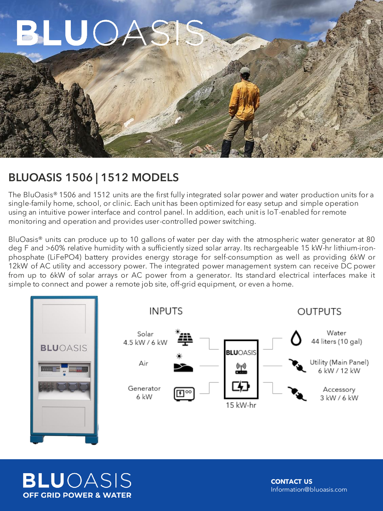

## BLUOASIS 1506 | 1512 MODELS

The BluOasis® 1506 and 1512 units are the first fully integrated solar power and water production units for a single-family home, school, or clinic. Each unit has been optimized for easy setup and simple operation using an intuitive power interface and control panel. In addition, each unit is IoT-enabled for remote monitoring and operation and provides user-controlled power switching.

BluOasis<sup>®</sup> units can produce up to 10 gallons of water per day with the atmospheric water generator at 80 deg F and >60% relative humidity with a sufficiently sized solar array. Its rechargeable 15 kW-hr lithium-ironphosphate (LiFePO4) battery provides energy storage for self-consumption as well as providing 6kW or 12kW of AC utility and accessory power. The integrated power management system can receive DC power from up to 6kW of solar arrays or AC power from a generator. Its standard electrical interfaces make it simple to connect and power a remote job site, off-grid equipment, or even a home.



**BLU**OASIS **OFF GRID POWER & WATER** 

**CONTACT US**  Information@bluoasis.com